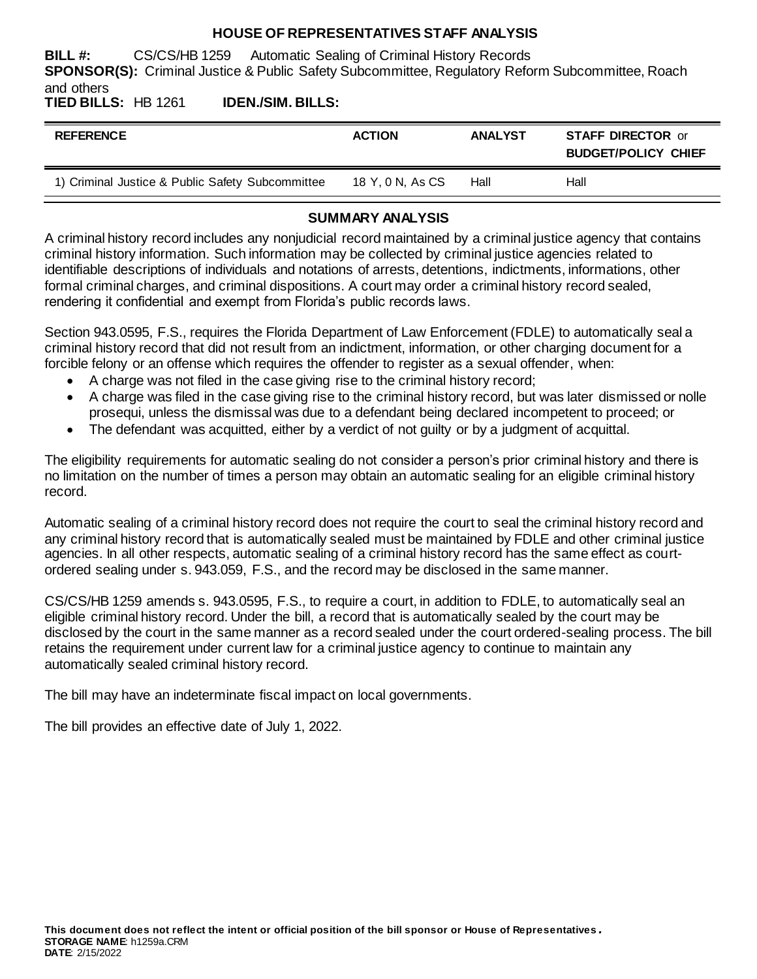#### **HOUSE OF REPRESENTATIVES STAFF ANALYSIS**

**BILL #:** CS/CS/HB 1259 Automatic Sealing of Criminal History Records **SPONSOR(S):** Criminal Justice & Public Safety Subcommittee, Regulatory Reform Subcommittee, Roach and others

**TIED BILLS:** HB 1261 **IDEN./SIM. BILLS:**

| <b>REFERENCE</b>                                 | <b>ACTION</b>    | <b>ANALYST</b> | <b>STAFF DIRECTOR or</b><br><b>BUDGET/POLICY CHIEF</b> |
|--------------------------------------------------|------------------|----------------|--------------------------------------------------------|
| 1) Criminal Justice & Public Safety Subcommittee | 18 Y, 0 N, As CS | Hall           | Hall                                                   |

## **SUMMARY ANALYSIS**

A criminal history record includes any nonjudicial record maintained by a criminal justice agency that contains criminal history information. Such information may be collected by criminal justice agencies related to identifiable descriptions of individuals and notations of arrests, detentions, indictments, informations, other formal criminal charges, and criminal dispositions. A court may order a criminal history record sealed, rendering it confidential and exempt from Florida's public records laws.

Section 943.0595, F.S., requires the Florida Department of Law Enforcement (FDLE) to automatically seal a criminal history record that did not result from an indictment, information, or other charging document for a forcible felony or an offense which requires the offender to register as a sexual offender, when:

- A charge was not filed in the case giving rise to the criminal history record;
- A charge was filed in the case giving rise to the criminal history record, but was later dismissed or nolle prosequi, unless the dismissal was due to a defendant being declared incompetent to proceed; or
- The defendant was acquitted, either by a verdict of not quilty or by a judgment of acquittal.

The eligibility requirements for automatic sealing do not consider a person's prior criminal history and there is no limitation on the number of times a person may obtain an automatic sealing for an eligible criminal history record.

Automatic sealing of a criminal history record does not require the court to seal the criminal history record and any criminal history record that is automatically sealed must be maintained by FDLE and other criminal justice agencies. In all other respects, automatic sealing of a criminal history record has the same effect as courtordered sealing under s. 943.059, F.S., and the record may be disclosed in the same manner.

CS/CS/HB 1259 amends s. 943.0595, F.S., to require a court, in addition to FDLE, to automatically seal an eligible criminal history record. Under the bill, a record that is automatically sealed by the court may be disclosed by the court in the same manner as a record sealed under the court ordered-sealing process. The bill retains the requirement under current law for a criminal justice agency to continue to maintain any automatically sealed criminal history record.

The bill may have an indeterminate fiscal impact on local governments.

The bill provides an effective date of July 1, 2022.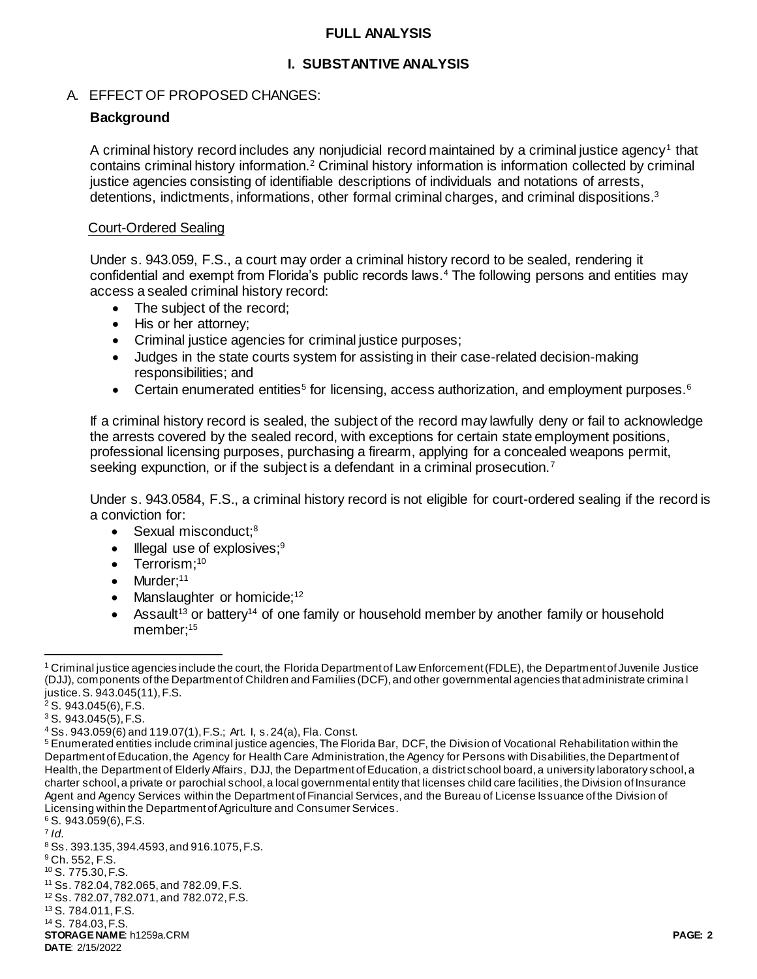#### **FULL ANALYSIS**

# **I. SUBSTANTIVE ANALYSIS**

# A. EFFECT OF PROPOSED CHANGES:

# **Background**

A criminal history record includes any nonjudicial record maintained by a criminal justice agency<sup>1</sup> that contains criminal history information.<sup>2</sup> Criminal history information is information collected by criminal justice agencies consisting of identifiable descriptions of individuals and notations of arrests, detentions, indictments, informations, other formal criminal charges, and criminal dispositions.<sup>3</sup>

#### Court-Ordered Sealing

Under s. 943.059, F.S., a court may order a criminal history record to be sealed, rendering it confidential and exempt from Florida's public records laws.<sup>4</sup> The following persons and entities may access a sealed criminal history record:

- The subject of the record:
- His or her attorney;
- Criminal justice agencies for criminal justice purposes;
- Judges in the state courts system for assisting in their case-related decision-making responsibilities; and
- Certain enumerated entities<sup>5</sup> for licensing, access authorization, and employment purposes.<sup>6</sup>

If a criminal history record is sealed, the subject of the record may lawfully deny or fail to acknowledge the arrests covered by the sealed record, with exceptions for certain state employment positions, professional licensing purposes, purchasing a firearm, applying for a concealed weapons permit, seeking expunction, or if the subject is a defendant in a criminal prosecution.<sup>7</sup>

Under s. 943.0584, F.S., a criminal history record is not eligible for court-ordered sealing if the record is a conviction for:

- Sexual misconduct;<sup>8</sup>
- Illegal use of explosives;<sup>9</sup>
- $\bullet$  Terrorism;<sup>10</sup>
- $\bullet$  Murder;<sup>11</sup>
- Manslaughter or homicide;<sup>12</sup>
- Assault<sup>13</sup> or battery<sup>14</sup> of one family or household member by another family or household member;<sup>15</sup>

<sup>6</sup> S. 943.059(6), F.S.

 $\overline{a}$ 

<sup>1</sup> Criminal justice agencies include the court, the Florida Department of Law Enforcement (FDLE), the Department of Juvenile Justice (DJJ), components of the Department of Children and Families (DCF), and other governmental agencies that administrate crimina l justice. S. 943.045(11), F.S.

<sup>2</sup> S. 943.045(6), F.S.

 $3$  S. 943.045(5), F.S.

<sup>4</sup> Ss. 943.059(6) and 119.07(1), F.S.; Art. I, s. 24(a), Fla. Const.

<sup>&</sup>lt;sup>5</sup> Enumerated entities include criminal justice agencies, The Florida Bar, DCF, the Division of Vocational Rehabilitation within the Department of Education, the Agency for Health Care Administration, the Agency for Persons with Disabilities, the Department of Health, the Department of Elderly Affairs, DJJ, the Department of Education, a district school board, a university laboratory school, a charter school, a private or parochial school, a local governmental entity that licenses child care facilities, the Division of Insurance Agent and Agency Services within the Department of Financial Services, and the Bureau of License Issuance of the Division of Licensing within the Department of Agriculture and Consumer Services.

<sup>7</sup> *Id.*

<sup>8</sup> Ss. 393.135, 394.4593, and 916.1075, F.S.

<sup>9</sup> Ch. 552, F.S.

<sup>10</sup> S. 775.30, F.S.

<sup>11</sup> Ss. 782.04, 782.065, and 782.09, F.S. <sup>12</sup> Ss. 782.07, 782.071, and 782.072, F.S.

<sup>13</sup> S. 784.011, F.S.

<sup>14</sup> S. 784.03, F.S.

**STORAGE NAME**: h1259a.CRM **PAGE: 2**

**DATE**: 2/15/2022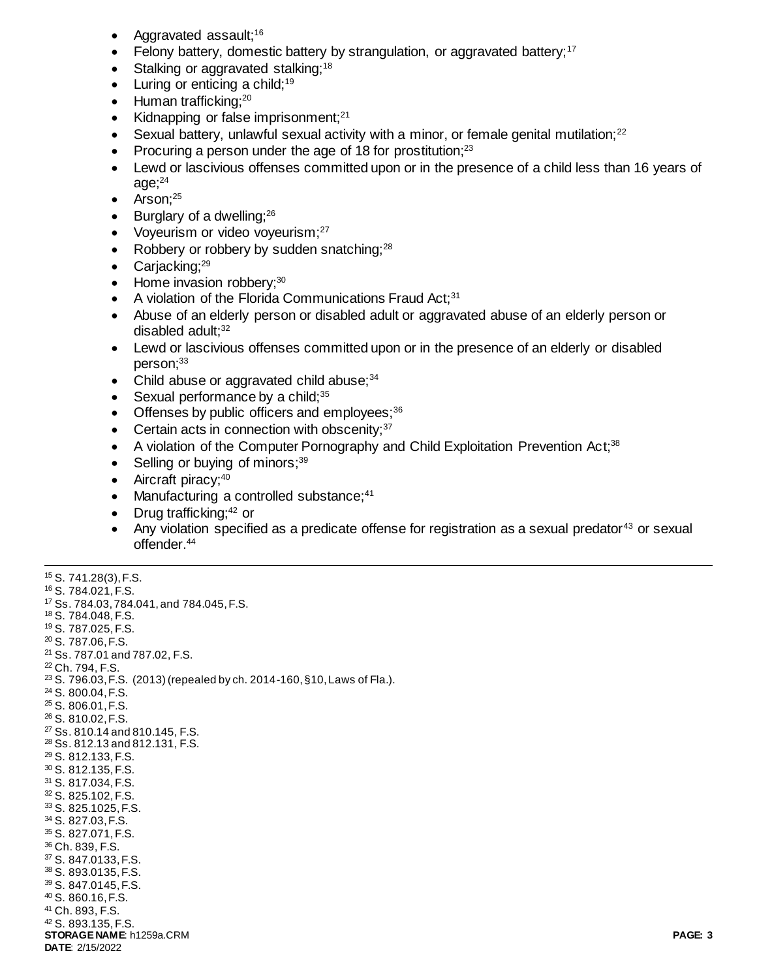- Aggravated assault;<sup>16</sup>
- Felony battery, domestic battery by strangulation, or aggravated battery;<sup>17</sup>
- Stalking or aggravated stalking;<sup>18</sup>
- $\bullet$  Luring or enticing a child;<sup>19</sup>
- $\bullet$  Human trafficking;<sup>20</sup>
- Kidnapping or false imprisonment; $21$
- **Sexual battery, unlawful sexual activity with a minor, or female genital mutilation;**<sup>22</sup>
- Procuring a person under the age of 18 for prostitution;<sup>23</sup>
- Lewd or lascivious offenses committed upon or in the presence of a child less than 16 years of age; $24$
- $\bullet$  Arson:  $^{25}$
- $\bullet$  Burglary of a dwelling;  $26$
- Voyeurism or video voyeurism; $27$
- Robbery or robbery by sudden snatching: $^{28}$
- $\bullet$  Carjacking;<sup>29</sup>
- Home invasion robbery;<sup>30</sup>
- A violation of the Florida Communications Fraud Act;<sup>31</sup>
- Abuse of an elderly person or disabled adult or aggravated abuse of an elderly person or disabled adult; $32$
- Lewd or lascivious offenses committed upon or in the presence of an elderly or disabled person;<sup>33</sup>
- Child abuse or aggravated child abuse; $34$
- $\bullet$  Sexual performance by a child:  $35$
- Offenses by public officers and employees; $36$
- $\bullet$  Certain acts in connection with obscenity;  $37$
- A violation of the Computer Pornography and Child Exploitation Prevention Act;<sup>38</sup>
- $\bullet$  Selling or buying of minors;  $39$
- Aircraft piracy;<sup>40</sup>

 $\overline{a}$ 

- Manufacturing a controlled substance;<sup>41</sup>
- Drug trafficking; $42$  or
- Any violation specified as a predicate offense for registration as a sexual predator<sup>43</sup> or sexual offender.<sup>44</sup>

```
STORAGE NAME: h1259a.CRM PAGE: 3
DATE: 2/15/2022
15 S. 741.28(3), F.S.
16 S. 784.021, F.S.
17 Ss. 784.03, 784.041, and 784.045, F.S.
18 S. 784.048, F.S.
19 S. 787.025, F.S.
20 S. 787.06, F.S.
21 Ss. 787.01 and 787.02, F.S. 
22 Ch. 794, F.S. 
23 S. 796.03, F.S. (2013) (repealed by ch. 2014-160, §10, Laws of Fla.). 
24 S. 800.04, F.S.
25 S. 806.01, F.S.
26 S. 810.02, F.S.
27 Ss. 810.14 and 810.145, F.S.
28 Ss. 812.13 and 812.131, F.S.
29 S. 812.133, F.S.
30 S. 812.135, F.S.
31 S. 817.034, F.S.
32 S. 825.102, F.S.
33 S. 825.1025, F.S.
34 S. 827.03, F.S.
35 S. 827.071, F.S.
36 Ch. 839, F.S.
37 S. 847.0133, F.S.
38 S. 893.0135, F.S.
39 S. 847.0145, F.S.
40 S. 860.16, F.S.
41 Ch. 893, F.S.
42 S. 893.135, F.S.
```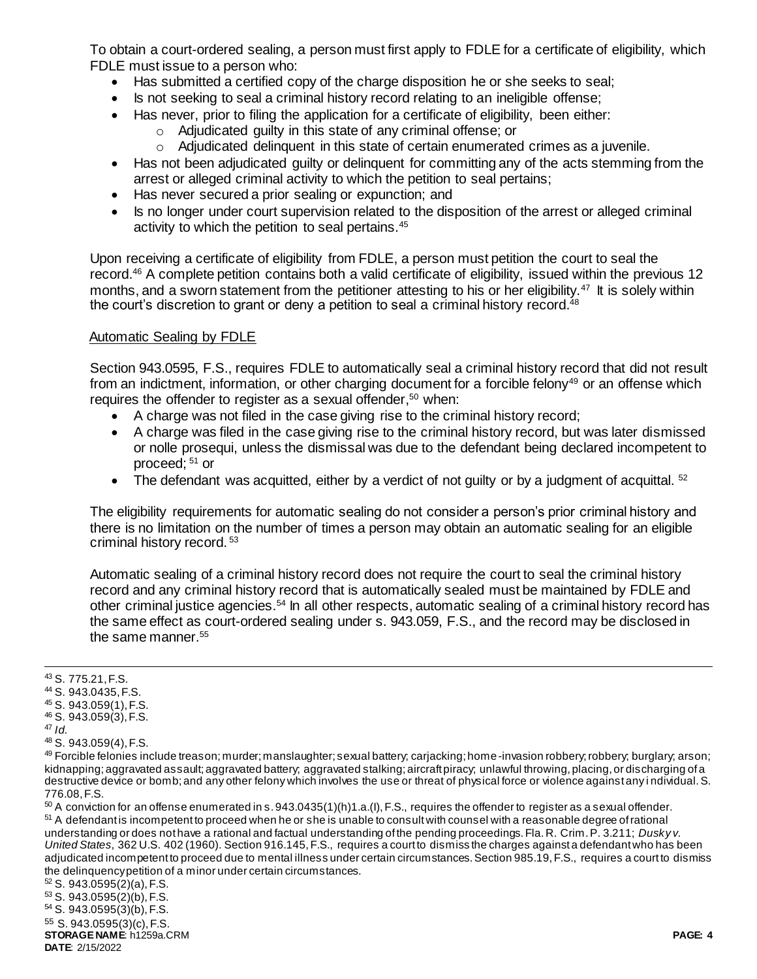To obtain a court-ordered sealing, a person must first apply to FDLE for a certificate of eligibility, which FDLE must issue to a person who:

- Has submitted a certified copy of the charge disposition he or she seeks to seal;
- Is not seeking to seal a criminal history record relating to an ineligible offense;
- Has never, prior to filing the application for a certificate of eligibility, been either:
	- o Adjudicated guilty in this state of any criminal offense; or
	- o Adjudicated delinquent in this state of certain enumerated crimes as a juvenile.
- Has not been adjudicated quilty or delinguent for committing any of the acts stemming from the arrest or alleged criminal activity to which the petition to seal pertains;
- Has never secured a prior sealing or expunction; and
- Is no longer under court supervision related to the disposition of the arrest or alleged criminal activity to which the petition to seal pertains.<sup>45</sup>

Upon receiving a certificate of eligibility from FDLE, a person must petition the court to seal the record.<sup>46</sup> A complete petition contains both a valid certificate of eligibility, issued within the previous 12 months, and a sworn statement from the petitioner attesting to his or her eligibility.<sup>47</sup> It is solely within the court's discretion to grant or deny a petition to seal a criminal history record.<sup>48</sup>

## Automatic Sealing by FDLE

Section 943.0595, F.S., requires FDLE to automatically seal a criminal history record that did not result from an indictment, information, or other charging document for a forcible felony<sup>49</sup> or an offense which requires the offender to register as a sexual offender, <sup>50</sup> when:

- A charge was not filed in the case giving rise to the criminal history record;
- A charge was filed in the case giving rise to the criminal history record, but was later dismissed or nolle prosequi, unless the dismissal was due to the defendant being declared incompetent to proceed; <sup>51</sup> or
- $\bullet$  The defendant was acquitted, either by a verdict of not quilty or by a judgment of acquittal.  $52$

The eligibility requirements for automatic sealing do not consider a person's prior criminal history and there is no limitation on the number of times a person may obtain an automatic sealing for an eligible criminal history record. <sup>53</sup>

Automatic sealing of a criminal history record does not require the court to seal the criminal history record and any criminal history record that is automatically sealed must be maintained by FDLE and other criminal justice agencies.<sup>54</sup> In all other respects, automatic sealing of a criminal history record has the same effect as court-ordered sealing under s. 943.059, F.S., and the record may be disclosed in the same manner.<sup>55</sup>

 $\overline{a}$ 

**STORAGE NAME**: h1259a.CRM **PAGE: 4 DATE**: 2/15/2022 <sup>55</sup> S. 943.0595(3)(c), F.S.

<sup>&</sup>lt;sup>43</sup> S. 775.21, F.S.

<sup>44</sup> S. 943.0435, F.S.

<sup>45</sup> S. 943.059(1), F.S. <sup>46</sup> S. 943.059(3), F.S.

<sup>47</sup> *Id.*

<sup>48</sup> S. 943.059(4), F.S.

<sup>49</sup> Forcible felonies include treason; murder; manslaughter; sexual battery; carjacking; home-invasion robbery; robbery; burglary; arson; kidnapping; aggravated assault; aggravated battery; aggravated stalking; aircraft piracy; unlawful throwing, placing, or discharging of a destructive device or bomb; and any other felony which involves the use or threat of physical force or violence against any i ndividual. S. 776.08, F.S.

 $50$  A conviction for an offense enumerated in s. 943.0435(1)(h)1.a.(l), F.S., requires the offender to register as a sexual offender. <sup>51</sup> A defendant is incompetent to proceed when he or she is unable to consult with counsel with a reasonable degree of rational understanding or does not have a rational and factual understanding of the pending proceedings. Fla. R. Crim. P. 3.211; *Dusky v. United States*, 362 U.S. 402 (1960). Section 916.145, F.S., requires a court to dismiss the charges against a defendant who has been adjudicated incompetent to proceed due to mental illness under certain circumstances. Section 985.19, F.S., requires a court to dismiss the delinquency petition of a minor under certain circumstances.

<sup>52</sup> S. 943.0595(2)(a), F.S.

<sup>53</sup> S. 943.0595(2)(b), F.S.

<sup>54</sup> S. 943.0595(3)(b), F.S.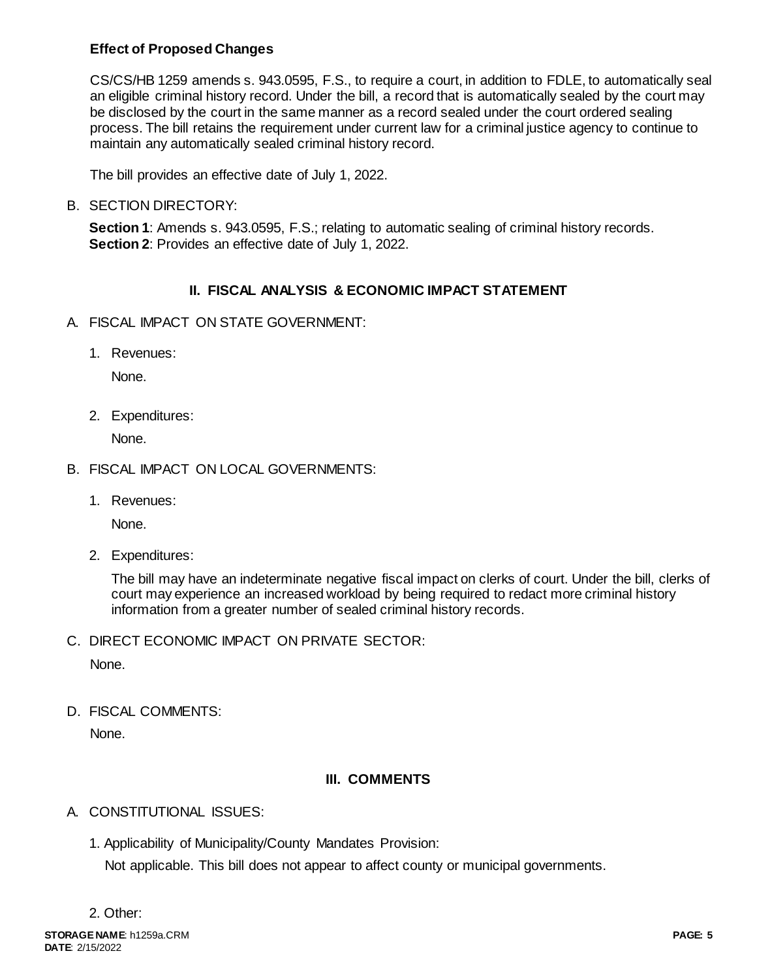## **Effect of Proposed Changes**

CS/CS/HB 1259 amends s. 943.0595, F.S., to require a court, in addition to FDLE, to automatically seal an eligible criminal history record. Under the bill, a record that is automatically sealed by the court may be disclosed by the court in the same manner as a record sealed under the court ordered sealing process. The bill retains the requirement under current law for a criminal justice agency to continue to maintain any automatically sealed criminal history record.

The bill provides an effective date of July 1, 2022.

#### B. SECTION DIRECTORY:

**Section 1**: Amends s. 943.0595, F.S.; relating to automatic sealing of criminal history records. **Section 2**: Provides an effective date of July 1, 2022.

## **II. FISCAL ANALYSIS & ECONOMIC IMPACT STATEMENT**

- A. FISCAL IMPACT ON STATE GOVERNMENT:
	- 1. Revenues:

None.

2. Expenditures:

None.

- B. FISCAL IMPACT ON LOCAL GOVERNMENTS:
	- 1. Revenues:

None.

2. Expenditures:

The bill may have an indeterminate negative fiscal impact on clerks of court. Under the bill, clerks of court may experience an increased workload by being required to redact more criminal history information from a greater number of sealed criminal history records.

C. DIRECT ECONOMIC IMPACT ON PRIVATE SECTOR:

None.

D. FISCAL COMMENTS:

None.

## **III. COMMENTS**

## A. CONSTITUTIONAL ISSUES:

1. Applicability of Municipality/County Mandates Provision:

Not applicable. This bill does not appear to affect county or municipal governments.